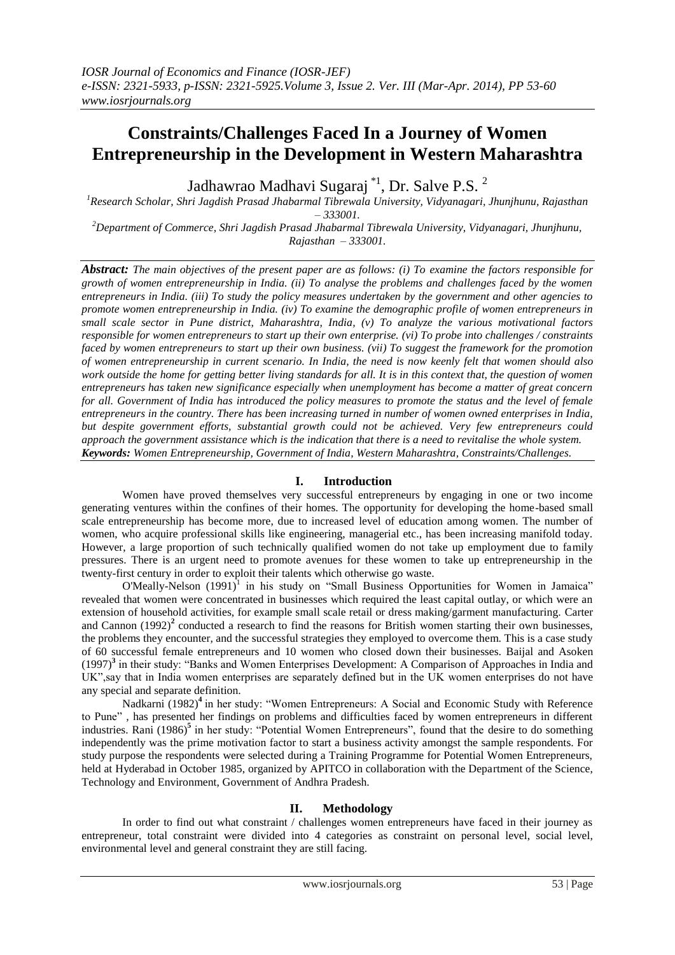# **Constraints/Challenges Faced In a Journey of Women Entrepreneurship in the Development in Western Maharashtra**

Jadhawrao Madhavi Sugaraj \*<sup>1</sup>, Dr. Salve P.S. <sup>2</sup>

*<sup>1</sup>Research Scholar, Shri Jagdish Prasad Jhabarmal Tibrewala University, Vidyanagari, Jhunjhunu, Rajasthan – 333001.*

*<sup>2</sup>Department of Commerce, Shri Jagdish Prasad Jhabarmal Tibrewala University, Vidyanagari, Jhunjhunu, Rajasthan – 333001.*

*Abstract: The main objectives of the present paper are as follows: (i) To examine the factors responsible for growth of women entrepreneurship in India. (ii) To analyse the problems and challenges faced by the women entrepreneurs in India. (iii) To study the policy measures undertaken by the government and other agencies to promote women entrepreneurship in India. (iv) To examine the demographic profile of women entrepreneurs in small scale sector in Pune district, Maharashtra, India, (v) To analyze the various motivational factors responsible for women entrepreneurs to start up their own enterprise. (vi) To probe into challenges / constraints faced by women entrepreneurs to start up their own business. (vii) To suggest the framework for the promotion of women entrepreneurship in current scenario. In India, the need is now keenly felt that women should also work outside the home for getting better living standards for all. It is in this context that, the question of women entrepreneurs has taken new significance especially when unemployment has become a matter of great concern for all. Government of India has introduced the policy measures to promote the status and the level of female entrepreneurs in the country. There has been increasing turned in number of women owned enterprises in India, but despite government efforts, substantial growth could not be achieved. Very few entrepreneurs could approach the government assistance which is the indication that there is a need to revitalise the whole system. Keywords: Women Entrepreneurship, Government of India, Western Maharashtra, Constraints/Challenges.*

# **I. Introduction**

Women have proved themselves very successful entrepreneurs by engaging in one or two income generating ventures within the confines of their homes. The opportunity for developing the home-based small scale entrepreneurship has become more, due to increased level of education among women. The number of women, who acquire professional skills like engineering, managerial etc., has been increasing manifold today. However, a large proportion of such technically qualified women do not take up employment due to family pressures. There is an urgent need to promote avenues for these women to take up entrepreneurship in the twenty-first century in order to exploit their talents which otherwise go waste.

 $O'Meally-Nelson (1991)<sup>1</sup>$  in his study on "Small Business Opportunities for Women in Jamaica" revealed that women were concentrated in businesses which required the least capital outlay, or which were an extension of household activities, for example small scale retail or dress making/garment manufacturing. Carter and Cannon (1992)<sup>2</sup> conducted a research to find the reasons for British women starting their own businesses, the problems they encounter, and the successful strategies they employed to overcome them. This is a case study of 60 successful female entrepreneurs and 10 women who closed down their businesses. Baijal and Asoken (1997)**<sup>3</sup>** in their study: "Banks and Women Enterprises Development: A Comparison of Approaches in India and UK",say that in India women enterprises are separately defined but in the UK women enterprises do not have any special and separate definition.

Nadkarni (1982)<sup>4</sup> in her study: "Women Entrepreneurs: A Social and Economic Study with Reference to Pune" *,* has presented her findings on problems and difficulties faced by women entrepreneurs in different industries. Rani (1986)<sup>5</sup> in her study: "Potential Women Entrepreneurs", found that the desire to do something independently was the prime motivation factor to start a business activity amongst the sample respondents. For study purpose the respondents were selected during a Training Programme for Potential Women Entrepreneurs, held at Hyderabad in October 1985, organized by APITCO in collaboration with the Department of the Science, Technology and Environment, Government of Andhra Pradesh.

# **II. Methodology**

In order to find out what constraint / challenges women entrepreneurs have faced in their journey as entrepreneur, total constraint were divided into 4 categories as constraint on personal level, social level, environmental level and general constraint they are still facing.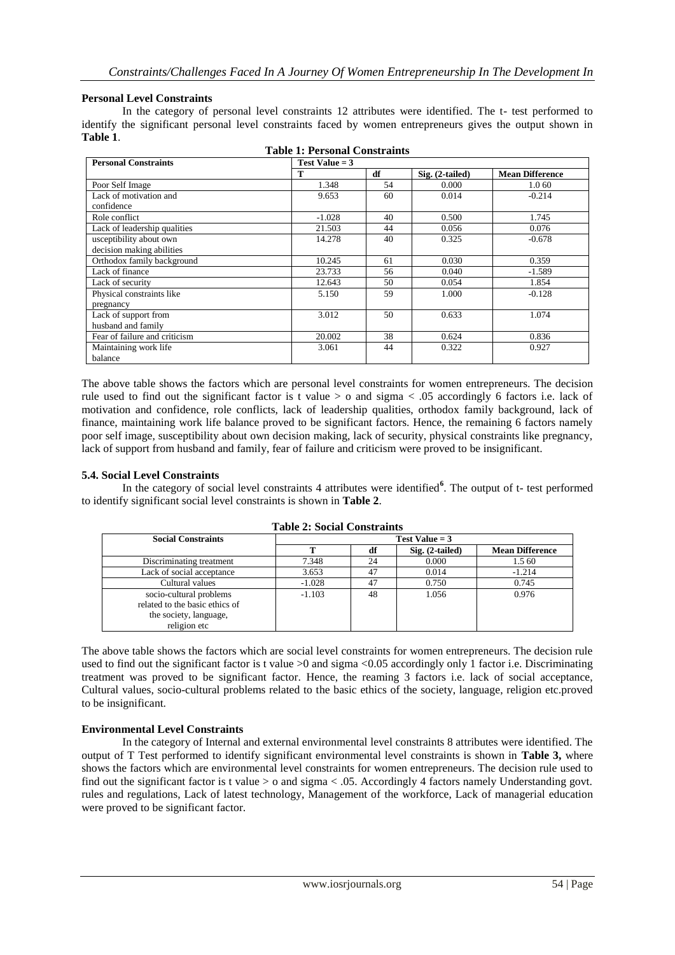#### **Personal Level Constraints**

In the category of personal level constraints 12 attributes were identified. The t- test performed to identify the significant personal level constraints faced by women entrepreneurs gives the output shown in **Table 1**.

| <b>Table 1: Personal Constraints</b> |                       |    |                   |                        |  |
|--------------------------------------|-----------------------|----|-------------------|------------------------|--|
| <b>Personal Constraints</b>          | <b>Test Value = 3</b> |    |                   |                        |  |
|                                      | т                     | df | $Sig. (2-tailed)$ | <b>Mean Difference</b> |  |
| Poor Self Image                      | 1.348                 | 54 | 0.000             | 1.0 60                 |  |
| Lack of motivation and               | 9.653                 | 60 | 0.014             | $-0.214$               |  |
| confidence                           |                       |    |                   |                        |  |
| Role conflict                        | $-1.028$              | 40 | 0.500             | 1.745                  |  |
| Lack of leadership qualities         | 21.503                | 44 | 0.056             | 0.076                  |  |
| usceptibility about own              | 14.278                | 40 | 0.325             | $-0.678$               |  |
| decision making abilities            |                       |    |                   |                        |  |
| Orthodox family background           | 10.245                | 61 | 0.030             | 0.359                  |  |
| Lack of finance                      | 23.733                | 56 | 0.040             | $-1.589$               |  |
| Lack of security                     | 12.643                | 50 | 0.054             | 1.854                  |  |
| Physical constraints like            | 5.150                 | 59 | 1.000             | $-0.128$               |  |
| pregnancy                            |                       |    |                   |                        |  |
| Lack of support from                 | 3.012                 | 50 | 0.633             | 1.074                  |  |
| husband and family                   |                       |    |                   |                        |  |
| Fear of failure and criticism        | 20.002                | 38 | 0.624             | 0.836                  |  |
| Maintaining work life                | 3.061                 | 44 | 0.322             | 0.927                  |  |
| balance                              |                       |    |                   |                        |  |

The above table shows the factors which are personal level constraints for women entrepreneurs. The decision rule used to find out the significant factor is t value > o and sigma < .05 accordingly 6 factors i.e. lack of motivation and confidence, role conflicts, lack of leadership qualities, orthodox family background, lack of finance, maintaining work life balance proved to be significant factors. Hence, the remaining 6 factors namely poor self image, susceptibility about own decision making, lack of security, physical constraints like pregnancy, lack of support from husband and family, fear of failure and criticism were proved to be insignificant.

#### **5.4. Social Level Constraints**

In the category of social level constraints 4 attributes were identified<sup>6</sup>. The output of t- test performed to identify significant social level constraints is shown in **Table 2**.

| <b>Social Constraints</b>                                 | <b>Test Value = 3</b> |    |                   |                        |  |
|-----------------------------------------------------------|-----------------------|----|-------------------|------------------------|--|
|                                                           |                       | df | $Sig. (2-tailed)$ | <b>Mean Difference</b> |  |
| Discriminating treatment                                  | 7.348                 | 24 | 0.000             | 1.5 60                 |  |
| Lack of social acceptance                                 | 3.653                 | 47 | 0.014             | $-1.214$               |  |
| Cultural values                                           | $-1.028$              | 47 | 0.750             | 0.745                  |  |
| socio-cultural problems<br>related to the basic ethics of | $-1.103$              | 48 | 1.056             | 0.976                  |  |
| the society, language,<br>religion etc                    |                       |    |                   |                        |  |

**Table 2: Social Constraints**

The above table shows the factors which are social level constraints for women entrepreneurs. The decision rule used to find out the significant factor is t value  $>0$  and sigma <0.05 accordingly only 1 factor i.e. Discriminating treatment was proved to be significant factor. Hence, the reaming 3 factors i.e. lack of social acceptance, Cultural values, socio-cultural problems related to the basic ethics of the society, language, religion etc.proved to be insignificant.

# **Environmental Level Constraints**

In the category of Internal and external environmental level constraints 8 attributes were identified. The output of T Test performed to identify significant environmental level constraints is shown in **Table 3,** where shows the factors which are environmental level constraints for women entrepreneurs. The decision rule used to find out the significant factor is t value  $> 0$  and sigma  $< .05$ . Accordingly 4 factors namely Understanding govt. rules and regulations, Lack of latest technology, Management of the workforce, Lack of managerial education were proved to be significant factor.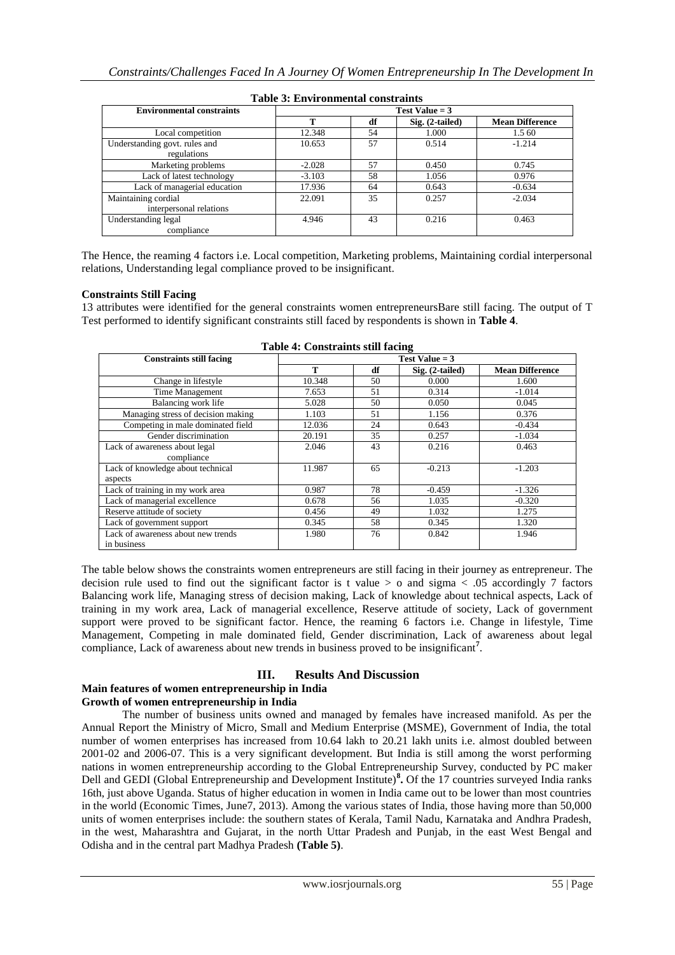| Table 9: Environmental constraints             |                  |    |                 |                        |  |  |
|------------------------------------------------|------------------|----|-----------------|------------------------|--|--|
| <b>Environmental constraints</b>               | Test Value $=$ 3 |    |                 |                        |  |  |
|                                                | т                | df | Sig. (2-tailed) | <b>Mean Difference</b> |  |  |
| Local competition                              | 12.348           | 54 | 1.000           | 1.5 60                 |  |  |
| Understanding govt. rules and<br>regulations   | 10.653           | 57 | 0.514           | $-1.214$               |  |  |
| Marketing problems                             | $-2.028$         | 57 | 0.450           | 0.745                  |  |  |
| Lack of latest technology                      | $-3.103$         | 58 | 1.056           | 0.976                  |  |  |
| Lack of managerial education                   | 17.936           | 64 | 0.643           | $-0.634$               |  |  |
| Maintaining cordial<br>interpersonal relations | 22.091           | 35 | 0.257           | $-2.034$               |  |  |
| Understanding legal<br>compliance              | 4.946            | 43 | 0.216           | 0.463                  |  |  |

**Table 3: Environmental constraints**

The Hence, the reaming 4 factors i.e. Local competition, Marketing problems, Maintaining cordial interpersonal relations, Understanding legal compliance proved to be insignificant.

#### **Constraints Still Facing**

13 attributes were identified for the general constraints women entrepreneursBare still facing. The output of T Test performed to identify significant constraints still faced by respondents is shown in **Table 4**.

| <b>Constraints still facing</b>    |        |    | Test Value $=$ 3 |                        |  |
|------------------------------------|--------|----|------------------|------------------------|--|
|                                    | т      | df | Sig. (2-tailed)  | <b>Mean Difference</b> |  |
| Change in lifestyle                | 10.348 | 50 | 0.000            | 1.600                  |  |
| Time Management                    | 7.653  | 51 | 0.314            | $-1.014$               |  |
| Balancing work life                | 5.028  | 50 | 0.050            | 0.045                  |  |
| Managing stress of decision making | 1.103  | 51 | 1.156            | 0.376                  |  |
| Competing in male dominated field  | 12.036 | 24 | 0.643            | $-0.434$               |  |
| Gender discrimination              | 20.191 | 35 | 0.257            | $-1.034$               |  |
| Lack of awareness about legal      | 2.046  | 43 | 0.216            | 0.463                  |  |
| compliance                         |        |    |                  |                        |  |
| Lack of knowledge about technical  | 11.987 | 65 | $-0.213$         | $-1.203$               |  |
| aspects                            |        |    |                  |                        |  |
| Lack of training in my work area   | 0.987  | 78 | $-0.459$         | $-1.326$               |  |
| Lack of managerial excellence      | 0.678  | 56 | 1.035            | $-0.320$               |  |
| Reserve attitude of society        | 0.456  | 49 | 1.032            | 1.275                  |  |
| Lack of government support         | 0.345  | 58 | 0.345            | 1.320                  |  |
| Lack of awareness about new trends | 1.980  | 76 | 0.842            | 1.946                  |  |
| in business                        |        |    |                  |                        |  |

**Table 4: Constraints still facing**

The table below shows the constraints women entrepreneurs are still facing in their journey as entrepreneur. The decision rule used to find out the significant factor is t value  $> 0$  and sigma  $< .05$  accordingly 7 factors Balancing work life, Managing stress of decision making, Lack of knowledge about technical aspects, Lack of training in my work area, Lack of managerial excellence, Reserve attitude of society, Lack of government support were proved to be significant factor. Hence, the reaming 6 factors i.e. Change in lifestyle, Time Management, Competing in male dominated field, Gender discrimination, Lack of awareness about legal compliance, Lack of awareness about new trends in business proved to be insignificant**<sup>7</sup>** .

# **III. Results And Discussion**

#### **Main features of women entrepreneurship in India Growth of women entrepreneurship in India**

The number of business units owned and managed by females have increased manifold. As per the Annual Report the Ministry of Micro, Small and Medium Enterprise (MSME), Government of India, the total number of women enterprises has increased from 10.64 lakh to 20.21 lakh units i.e. almost doubled between 2001-02 and 2006-07. This is a very significant development. But India is still among the worst performing nations in women entrepreneurship according to the Global Entrepreneurship Survey, conducted by PC maker Dell and GEDI (Global Entrepreneurship and Development Institute)**<sup>8</sup> .** Of the 17 countries surveyed India ranks 16th, just above Uganda. Status of higher education in women in India came out to be lower than most countries in the world (Economic Times, June7, 2013). Among the various states of India, those having more than 50,000 units of women enterprises include: the southern states of Kerala, Tamil Nadu, Karnataka and Andhra Pradesh, in the west, Maharashtra and Gujarat, in the north Uttar Pradesh and Punjab, in the east West Bengal and Odisha and in the central part Madhya Pradesh **(Table 5)**.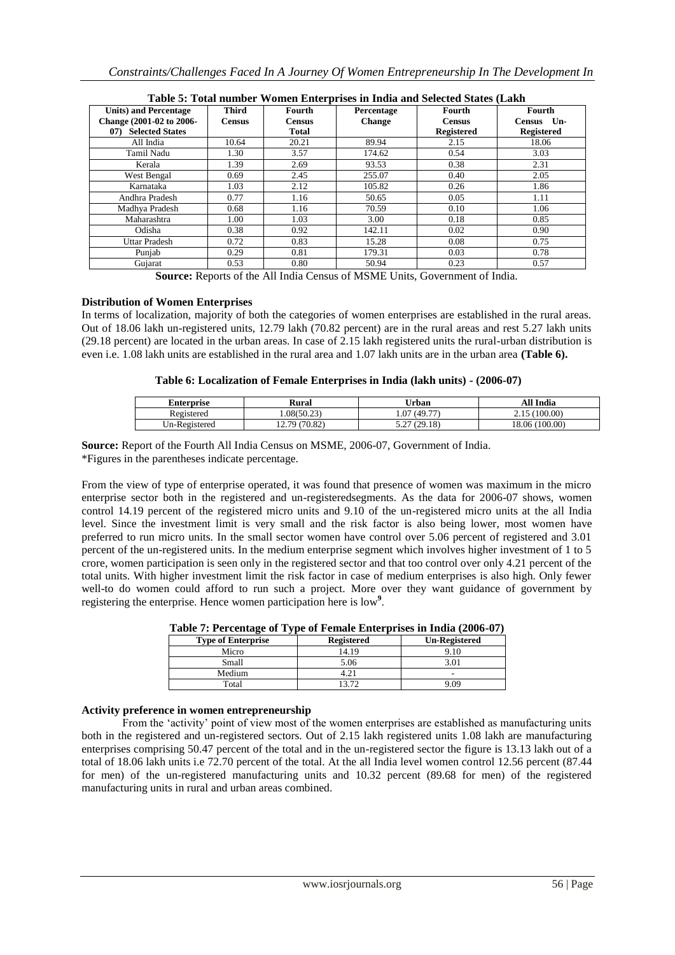| Table 5. Tolai humber 77 omen Emer prises in muid and beleeved blacks (Earn |                               |                         |                             |                         |                      |
|-----------------------------------------------------------------------------|-------------------------------|-------------------------|-----------------------------|-------------------------|----------------------|
| <b>Units) and Percentage</b><br>Change (2001-02 to 2006-                    | <b>Third</b><br><b>Census</b> | Fourth<br><b>Census</b> | Percentage<br><b>Change</b> | Fourth<br><b>Census</b> | Fourth<br>Census Un- |
| <b>Selected States</b><br>07                                                |                               | <b>Total</b>            |                             | <b>Registered</b>       | <b>Registered</b>    |
| All India                                                                   | 10.64                         | 20.21                   | 89.94                       | 2.15                    | 18.06                |
| Tamil Nadu                                                                  | 1.30                          | 3.57                    | 174.62                      | 0.54                    | 3.03                 |
| Kerala                                                                      | 1.39                          | 2.69                    | 93.53                       | 0.38                    | 2.31                 |
| West Bengal                                                                 | 0.69                          | 2.45                    | 255.07                      | 0.40                    | 2.05                 |
| Karnataka                                                                   | 1.03                          | 2.12                    | 105.82                      | 0.26                    | 1.86                 |
| Andhra Pradesh                                                              | 0.77                          | 1.16                    | 50.65                       | 0.05                    | 1.11                 |
| Madhya Pradesh                                                              | 0.68                          | 1.16                    | 70.59                       | 0.10                    | 1.06                 |
| Maharashtra                                                                 | 1.00                          | 1.03                    | 3.00                        | 0.18                    | 0.85                 |
| Odisha                                                                      | 0.38                          | 0.92                    | 142.11                      | 0.02                    | 0.90                 |
| Uttar Pradesh                                                               | 0.72                          | 0.83                    | 15.28                       | 0.08                    | 0.75                 |
| Puniab                                                                      | 0.29                          | 0.81                    | 179.31                      | 0.03                    | 0.78                 |
| Gujarat                                                                     | 0.53                          | 0.80                    | 50.94                       | 0.23                    | 0.57                 |

|  | Table 5: Total number Women Enterprises in India and Selected States (Lakh |  |  |  |  |  |
|--|----------------------------------------------------------------------------|--|--|--|--|--|
|--|----------------------------------------------------------------------------|--|--|--|--|--|

**Source:** Reports of the All India Census of MSME Units, Government of India.

# **Distribution of Women Enterprises**

In terms of localization, majority of both the categories of women enterprises are established in the rural areas. Out of 18.06 lakh un-registered units, 12.79 lakh (70.82 percent) are in the rural areas and rest 5.27 lakh units (29.18 percent) are located in the urban areas. In case of 2.15 lakh registered units the rural-urban distribution is even i.e. 1.08 lakh units are established in the rural area and 1.07 lakh units are in the urban area **(Table 6).**

#### **Table 6: Localization of Female Enterprises in India (lakh units) - (2006-07)**

| Enterprise    | Rural         | Urban           | All India           |
|---------------|---------------|-----------------|---------------------|
| Registered    | .08(50.23)    | (49.77)<br>.07  | 15 (100.00)<br>2.1J |
| Un-Registered | 12.79 (70.82) | (29.18)<br>ے. ب | (100.00)<br>18.06   |

**Source:** Report of the Fourth All India Census on MSME, 2006-07, Government of India. \*Figures in the parentheses indicate percentage.

From the view of type of enterprise operated, it was found that presence of women was maximum in the micro enterprise sector both in the registered and un-registeredsegments. As the data for 2006-07 shows, women control 14.19 percent of the registered micro units and 9.10 of the un-registered micro units at the all India level. Since the investment limit is very small and the risk factor is also being lower, most women have preferred to run micro units. In the small sector women have control over 5.06 percent of registered and 3.01 percent of the un-registered units. In the medium enterprise segment which involves higher investment of 1 to 5 crore, women participation is seen only in the registered sector and that too control over only 4.21 percent of the total units. With higher investment limit the risk factor in case of medium enterprises is also high. Only fewer well-to do women could afford to run such a project. More over they want guidance of government by registering the enterprise. Hence women participation here is low<sup>9</sup>.

|  |  | Table 7: Percentage of Type of Female Enterprises in India (2006-07) |  |
|--|--|----------------------------------------------------------------------|--|
|  |  |                                                                      |  |

| <b>Type of Enterprise</b> | <b>Registered</b> | <b>Un-Registered</b> |
|---------------------------|-------------------|----------------------|
| Micro                     | 14.19             | 9.10                 |
| Small                     | 5.06              |                      |
| Medium                    |                   | -                    |
| Total                     | 13.72             | 9.09                 |

#### **Activity preference in women entrepreneurship**

From the 'activity' point of view most of the women enterprises are established as manufacturing units both in the registered and un-registered sectors. Out of 2.15 lakh registered units 1.08 lakh are manufacturing enterprises comprising 50.47 percent of the total and in the un-registered sector the figure is 13.13 lakh out of a total of 18.06 lakh units i.e 72.70 percent of the total. At the all India level women control 12.56 percent (87.44 for men) of the un-registered manufacturing units and 10.32 percent (89.68 for men) of the registered manufacturing units in rural and urban areas combined.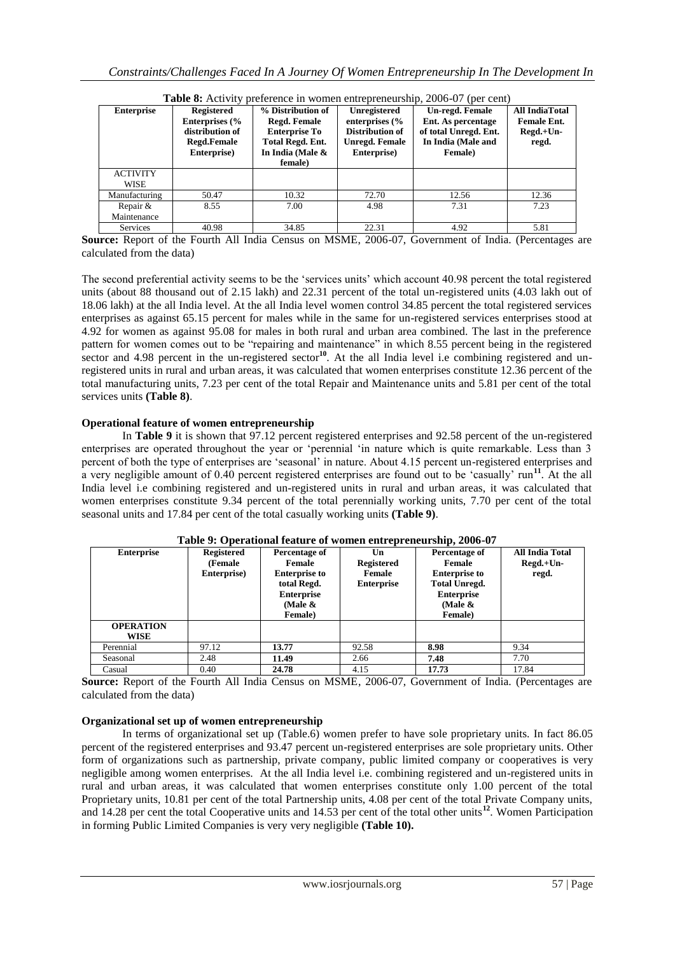| <b>Enterprise</b> | Registered                | % Distribution of    | Unregistered              | Un-regd. Female       | <b>All IndiaTotal</b> |
|-------------------|---------------------------|----------------------|---------------------------|-----------------------|-----------------------|
|                   | Enterprises $\frac{6}{6}$ | <b>Regd. Female</b>  | enterprises $\frac{6}{6}$ | Ent. As percentage    | <b>Female Ent.</b>    |
|                   |                           |                      |                           |                       |                       |
|                   | distribution of           | <b>Enterprise To</b> | Distribution of           | of total Unregd. Ent. | $Regd.+Un-$           |
|                   | Regd.Female               | Total Regd. Ent.     | Unregd. Female            | In India (Male and    | regd.                 |
|                   | Enterprise)               | In India (Male &     | Enterprise)               | Female)               |                       |
|                   |                           | female)              |                           |                       |                       |
| <b>ACTIVITY</b>   |                           |                      |                           |                       |                       |
| <b>WISE</b>       |                           |                      |                           |                       |                       |
| Manufacturing     | 50.47                     | 10.32                | 72.70                     | 12.56                 | 12.36                 |
| Repair &          | 8.55                      | 7.00                 | 4.98                      | 7.31                  | 7.23                  |
| Maintenance       |                           |                      |                           |                       |                       |
| <b>Services</b>   | 40.98                     | 34.85                | 22.31                     | 4.92                  | 5.81                  |

**Table 8:** Activity preference in women entrepreneurship, 2006-07 (per cent)

**Source:** Report of the Fourth All India Census on MSME, 2006-07, Government of India. (Percentages are calculated from the data)

The second preferential activity seems to be the 'services units' which account 40.98 percent the total registered units (about 88 thousand out of 2.15 lakh) and 22.31 percent of the total un-registered units (4.03 lakh out of 18.06 lakh) at the all India level. At the all India level women control 34.85 percent the total registered services enterprises as against 65.15 percent for males while in the same for un-registered services enterprises stood at 4.92 for women as against 95.08 for males in both rural and urban area combined. The last in the preference pattern for women comes out to be "repairing and maintenance" in which 8.55 percent being in the registered sector and 4.98 percent in the un-registered sector<sup>10</sup>. At the all India level i.e combining registered and unregistered units in rural and urban areas, it was calculated that women enterprises constitute 12.36 percent of the total manufacturing units, 7.23 per cent of the total Repair and Maintenance units and 5.81 per cent of the total services units **(Table 8)**.

#### **Operational feature of women entrepreneurship**

In **Table 9** it is shown that 97.12 percent registered enterprises and 92.58 percent of the un-registered enterprises are operated throughout the year or "perennial "in nature which is quite remarkable. Less than 3 percent of both the type of enterprises are "seasonal" in nature. About 4.15 percent un-registered enterprises and a very negligible amount of 0.40 percent registered enterprises are found out to be 'casually' run<sup>11</sup>. At the all India level i.e combining registered and un-registered units in rural and urban areas, it was calculated that women enterprises constitute 9.34 percent of the total perennially working units, 7.70 per cent of the total seasonal units and 17.84 per cent of the total casually working units **(Table 9)**.

| <b>Enterprise</b> | <b>Registered</b><br><b>(Female)</b><br>Enterprise) | Percentage of<br>Female<br><b>Enterprise to</b><br>total Regd.<br><b>Enterprise</b><br>(Male $\&$ | Un<br><b>Registered</b><br>Female<br><b>Enterprise</b> | Percentage of<br>Female<br><b>Enterprise to</b><br><b>Total Unregd.</b><br><b>Enterprise</b><br>(Male $\&$ | <b>All India Total</b><br>$Regd.+Un-$<br>regd. |
|-------------------|-----------------------------------------------------|---------------------------------------------------------------------------------------------------|--------------------------------------------------------|------------------------------------------------------------------------------------------------------------|------------------------------------------------|
|                   |                                                     | <b>Female</b> )                                                                                   |                                                        | <b>Female</b> )                                                                                            |                                                |
| <b>OPERATION</b>  |                                                     |                                                                                                   |                                                        |                                                                                                            |                                                |
| WISE              |                                                     |                                                                                                   |                                                        |                                                                                                            |                                                |
| Perennial         | 97.12                                               | 13.77                                                                                             | 92.58                                                  | 8.98                                                                                                       | 9.34                                           |
| Seasonal          | 2.48                                                | 11.49                                                                                             | 2.66                                                   | 7.48                                                                                                       | 7.70                                           |
| Casual            | 0.40                                                | 24.78                                                                                             | 4.15                                                   | 17.73                                                                                                      | 17.84                                          |
|                   |                                                     |                                                                                                   |                                                        |                                                                                                            |                                                |

|  |  |  | Table 9: Operational feature of women entrepreneurship, 2006-07 |  |
|--|--|--|-----------------------------------------------------------------|--|
|--|--|--|-----------------------------------------------------------------|--|

**Source:** Report of the Fourth All India Census on MSME, 2006-07, Government of India. (Percentages are calculated from the data)

# **Organizational set up of women entrepreneurship**

In terms of organizational set up (Table.6) women prefer to have sole proprietary units. In fact 86.05 percent of the registered enterprises and 93.47 percent un-registered enterprises are sole proprietary units. Other form of organizations such as partnership, private company, public limited company or cooperatives is very negligible among women enterprises. At the all India level i.e. combining registered and un-registered units in rural and urban areas, it was calculated that women enterprises constitute only 1.00 percent of the total Proprietary units, 10.81 per cent of the total Partnership units, 4.08 per cent of the total Private Company units, and 14.28 per cent the total Cooperative units and 14.53 per cent of the total other units**<sup>12</sup>**. Women Participation in forming Public Limited Companies is very very negligible **(Table 10).**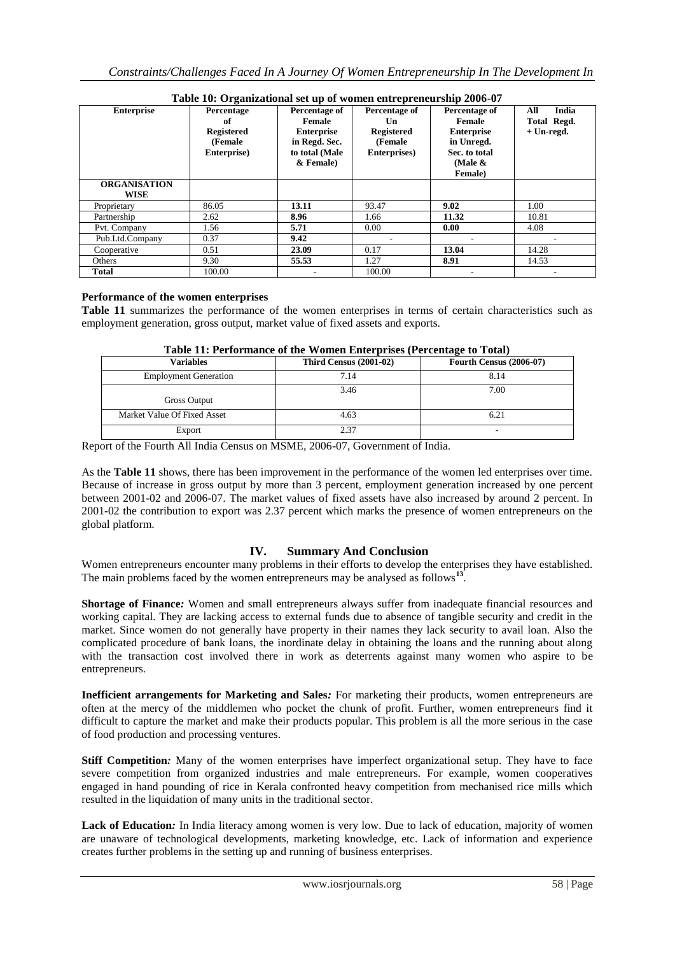| Table To. Of gainzational set up of women entrepreneurship zooo-o7 |                   |                   |                   |                   |              |
|--------------------------------------------------------------------|-------------------|-------------------|-------------------|-------------------|--------------|
| <b>Enterprise</b>                                                  | Percentage        | Percentage of     | Percentage of     | Percentage of     | India<br>All |
|                                                                    | of                | <b>Female</b>     | Un                | Female            | Total Regd.  |
|                                                                    | <b>Registered</b> | <b>Enterprise</b> | <b>Registered</b> | <b>Enterprise</b> | $+$ Un-regd. |
|                                                                    | <b>(Female)</b>   | in Regd. Sec.     | (Female           | in Unregd.        |              |
|                                                                    | Enterprise)       | to total (Male    | Enterprises)      | Sec. to total     |              |
|                                                                    |                   | & Female)         |                   | (Male $\&$        |              |
|                                                                    |                   |                   |                   | Female)           |              |
| <b>ORGANISATION</b>                                                |                   |                   |                   |                   |              |
|                                                                    |                   |                   |                   |                   |              |
| WISE                                                               |                   |                   |                   |                   |              |
| Proprietary                                                        | 86.05             | 13.11             | 93.47             | 9.02              | 1.00         |
| Partnership                                                        | 2.62              | 8.96              | 1.66              | 11.32             | 10.81        |
| Pvt. Company                                                       | 1.56              | 5.71              | 0.00              | 0.00              | 4.08         |
| Pub.Ltd.Company                                                    | 0.37              | 9.42              |                   |                   |              |
| Cooperative                                                        | 0.51              | 23.09             | 0.17              | 13.04             | 14.28        |
| Others                                                             | 9.30              | 55.53             | 1.27              | 8.91              | 14.53        |
| Total                                                              | 100.00            |                   | 100.00            |                   |              |

# **Table 10: Organizational set up of women entrepreneurship 2006-07**

# **Performance of the women enterprises**

**Table 11** summarizes the performance of the women enterprises in terms of certain characteristics such as employment generation, gross output, market value of fixed assets and exports.

| $\sim$ which is a construction of the 11 direct military product $\sim$ as evenings to 20 direct |                               |                                |  |  |  |
|--------------------------------------------------------------------------------------------------|-------------------------------|--------------------------------|--|--|--|
| <b>Variables</b>                                                                                 | <b>Third Census (2001-02)</b> | <b>Fourth Census (2006-07)</b> |  |  |  |
| <b>Employment Generation</b>                                                                     | 7.14                          | 8.14                           |  |  |  |
| <b>Gross Output</b>                                                                              | 3.46                          | 7.00                           |  |  |  |
| Market Value Of Fixed Asset                                                                      | 4.63                          | 6.21                           |  |  |  |
| Export                                                                                           | 2.37                          | -                              |  |  |  |

#### **Table 11: Performance of the Women Enterprises (Percentage to Total)**

Report of the Fourth All India Census on MSME, 2006-07, Government of India.

As the **Table 11** shows, there has been improvement in the performance of the women led enterprises over time. Because of increase in gross output by more than 3 percent, employment generation increased by one percent between 2001-02 and 2006-07. The market values of fixed assets have also increased by around 2 percent. In 2001-02 the contribution to export was 2.37 percent which marks the presence of women entrepreneurs on the global platform.

# **IV. Summary And Conclusion**

Women entrepreneurs encounter many problems in their efforts to develop the enterprises they have established. The main problems faced by the women entrepreneurs may be analysed as follows**<sup>13</sup>** .

**Shortage of Finance***:* Women and small entrepreneurs always suffer from inadequate financial resources and working capital. They are lacking access to external funds due to absence of tangible security and credit in the market. Since women do not generally have property in their names they lack security to avail loan. Also the complicated procedure of bank loans, the inordinate delay in obtaining the loans and the running about along with the transaction cost involved there in work as deterrents against many women who aspire to be entrepreneurs.

**Inefficient arrangements for Marketing and Sales***:* For marketing their products, women entrepreneurs are often at the mercy of the middlemen who pocket the chunk of profit. Further, women entrepreneurs find it difficult to capture the market and make their products popular. This problem is all the more serious in the case of food production and processing ventures.

**Stiff Competition:** Many of the women enterprises have imperfect organizational setup. They have to face severe competition from organized industries and male entrepreneurs. For example, women cooperatives engaged in hand pounding of rice in Kerala confronted heavy competition from mechanised rice mills which resulted in the liquidation of many units in the traditional sector.

**Lack of Education***:* In India literacy among women is very low. Due to lack of education, majority of women are unaware of technological developments, marketing knowledge, etc. Lack of information and experience creates further problems in the setting up and running of business enterprises.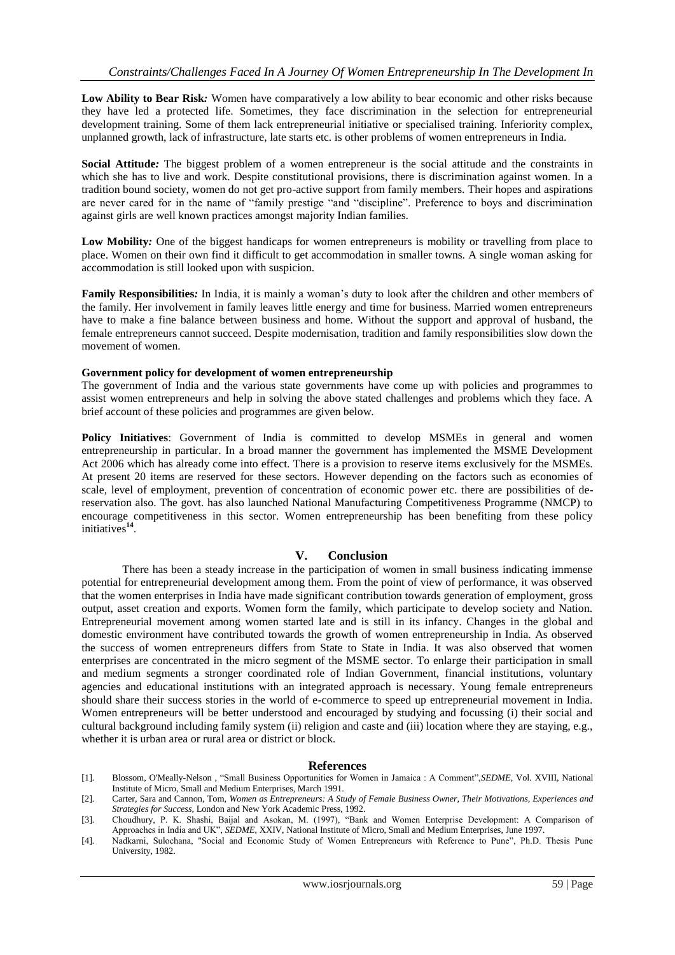**Low Ability to Bear Risk***:* Women have comparatively a low ability to bear economic and other risks because they have led a protected life. Sometimes, they face discrimination in the selection for entrepreneurial development training. Some of them lack entrepreneurial initiative or specialised training. Inferiority complex, unplanned growth, lack of infrastructure, late starts etc. is other problems of women entrepreneurs in India.

**Social Attitude***:* The biggest problem of a women entrepreneur is the social attitude and the constraints in which she has to live and work. Despite constitutional provisions, there is discrimination against women. In a tradition bound society, women do not get pro-active support from family members. Their hopes and aspirations are never cared for in the name of "family prestige "and "discipline". Preference to boys and discrimination against girls are well known practices amongst majority Indian families.

**Low Mobility***:* One of the biggest handicaps for women entrepreneurs is mobility or travelling from place to place. Women on their own find it difficult to get accommodation in smaller towns. A single woman asking for accommodation is still looked upon with suspicion.

**Family Responsibilities***:* In India, it is mainly a woman"s duty to look after the children and other members of the family. Her involvement in family leaves little energy and time for business. Married women entrepreneurs have to make a fine balance between business and home. Without the support and approval of husband, the female entrepreneurs cannot succeed. Despite modernisation, tradition and family responsibilities slow down the movement of women.

#### **Government policy for development of women entrepreneurship**

The government of India and the various state governments have come up with policies and programmes to assist women entrepreneurs and help in solving the above stated challenges and problems which they face. A brief account of these policies and programmes are given below.

**Policy Initiatives**: Government of India is committed to develop MSMEs in general and women entrepreneurship in particular. In a broad manner the government has implemented the MSME Development Act 2006 which has already come into effect. There is a provision to reserve items exclusively for the MSMEs. At present 20 items are reserved for these sectors. However depending on the factors such as economies of scale, level of employment, prevention of concentration of economic power etc. there are possibilities of dereservation also. The govt. has also launched National Manufacturing Competitiveness Programme (NMCP) to encourage competitiveness in this sector. Women entrepreneurship has been benefiting from these policy initiatives**<sup>14</sup>** .

# **V. Conclusion**

There has been a steady increase in the participation of women in small business indicating immense potential for entrepreneurial development among them. From the point of view of performance, it was observed that the women enterprises in India have made significant contribution towards generation of employment, gross output, asset creation and exports. Women form the family, which participate to develop society and Nation. Entrepreneurial movement among women started late and is still in its infancy. Changes in the global and domestic environment have contributed towards the growth of women entrepreneurship in India. As observed the success of women entrepreneurs differs from State to State in India. It was also observed that women enterprises are concentrated in the micro segment of the MSME sector. To enlarge their participation in small and medium segments a stronger coordinated role of Indian Government, financial institutions, voluntary agencies and educational institutions with an integrated approach is necessary. Young female entrepreneurs should share their success stories in the world of e-commerce to speed up entrepreneurial movement in India. Women entrepreneurs will be better understood and encouraged by studying and focussing (i) their social and cultural background including family system (ii) religion and caste and (iii) location where they are staying, e.g., whether it is urban area or rural area or district or block.

#### **References**

- [1]. Blossom, O'Meally-Nelson , "Small Business Opportunities for Women in Jamaica : A Comment",*SEDME*, Vol. XVIII, National Institute of Micro, Small and Medium Enterprises, March 1991.
- [2]. Carter, Sara and Cannon, Tom, *Women as Entrepreneurs: A Study of Female Business Owner, Their Motivations, Experiences and Strategies for Success*, London and New York Academic Press, 1992.
- [3]. Choudhury, P. K. Shashi, Baijal and Asokan, M. (1997), "Bank and Women Enterprise Development: A Comparison of Approaches in India and UK", *SEDME*, XXIV, National Institute of Micro, Small and Medium Enterprises, June 1997.
- [4]. Nadkarni, Sulochana, "Social and Economic Study of Women Entrepreneurs with Reference to Pune", Ph.D. Thesis Pune University, 1982.